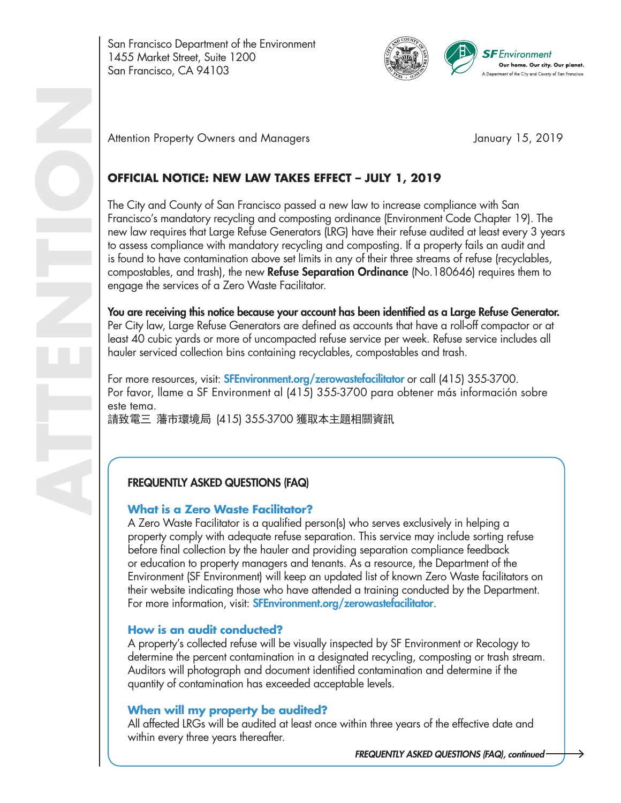San Francisco Department of the Environment 1455 Market Street, Suite 1200 San Francisco, CA 94103



Attention Property Owners and Managers **Attention Property Owners and Managers** January 15, 2019

# **OFFICIAL NOTICE: NEW LAW TAKES EFFECT – JULY 1, 2019**

The City and County of San Francisco passed a new law to increase compliance with San Francisco's mandatory recycling and composting ordinance (Environment Code Chapter 19). The new law requires that Large Refuse Generators (LRG) have their refuse audited at least every 3 years to assess compliance with mandatory recycling and composting. If a property fails an audit and is found to have contamination above set limits in any of their three streams of refuse (recyclables, compostables, and trash), the new **Refuse Separation Ordinance** (No.180646) requires them to engage the services of a Zero Waste Facilitator.

You are receiving this notice because your account has been identified as a Large Refuse Generator. Per City law, Large Refuse Generators are defined as accounts that have a roll-off compactor or at least 40 cubic yards or more of uncompacted refuse service per week. Refuse service includes all hauler serviced collection bins containing recyclables, compostables and trash.

For more resources, visit: **SFEnvironment.org/zerowastefacilitator** or call (415) 355-3700. Por favor, llame a SF Environment al (415) 355-3700 para obtener más información sobre este tema. 請致電三 藩市環境局 (415) 355-3700 獲取本主題相關資訊

## FREQUENTLY ASKED QUESTIONS (FAQ)

#### **What is a Zero Waste Facilitator?**

A Zero Waste Facilitator is a qualified person(s) who serves exclusively in helping a property comply with adequate refuse separation. This service may include sorting refuse before final collection by the hauler and providing separation compliance feedback or education to property managers and tenants. As a resource, the Department of the Environment (SF Environment) will keep an updated list of known Zero Waste facilitators on their website indicating those who have attended a training conducted by the Department. For more information, visit: **SFEnvironment.org/zerowastefacilitator**.

#### **How is an audit conducted?**

A property's collected refuse will be visually inspected by SF Environment or Recology to determine the percent contamination in a designated recycling, composting or trash stream. Auditors will photograph and document identified contamination and determine if the quantity of contamination has exceeded acceptable levels.

#### **When will my property be audited?**

All affected LRGs will be audited at least once within three years of the effective date and within every three years thereafter.

*FREQUENTLY ASKED QUESTIONS (FAQ), continued*